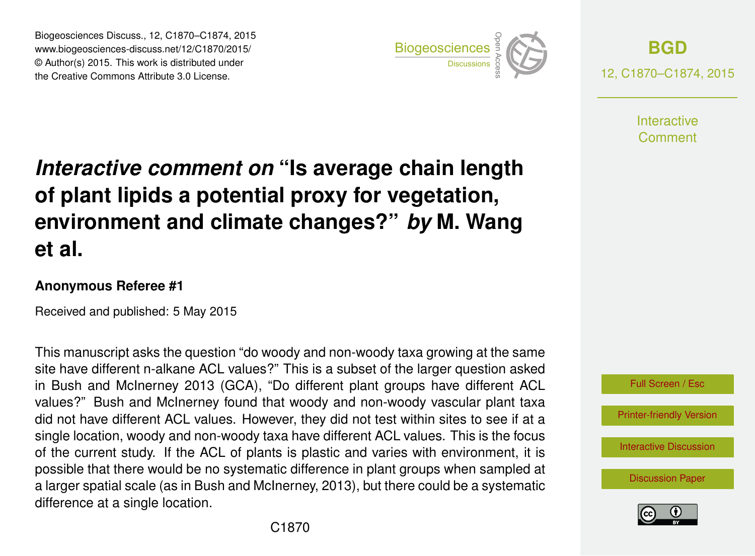Biogeosciences Discuss., 12, C1870–C1874, 2015 www.biogeosciences-discuss.net/12/C1870/2015/ © Author(s) 2015. This work is distributed under Biogeosciences Discuss., 12, C1870–C1874, 2015<br>
www.biogeosciences-discuss.net/12/C1870/2015/<br>
© Author(s) 2015. This work is distributed under<br>
the Creative Commons Attribute 3.0 License.



**[BGD](http://www.biogeosciences-discuss.net)** 12, C1870–C1874, 2015

> **Interactive** Comment

# *Interactive comment on* **"Is average chain length of plant lipids a potential proxy for vegetation, environment and climate changes?"** *by* **M. Wang et al.**

#### **Anonymous Referee #1**

Received and published: 5 May 2015

This manuscript asks the question "do woody and non-woody taxa growing at the same site have different n-alkane ACL values?" This is a subset of the larger question asked in Bush and McInerney 2013 (GCA), "Do different plant groups have different ACL values?" Bush and McInerney found that woody and non-woody vascular plant taxa did not have different ACL values. However, they did not test within sites to see if at a single location, woody and non-woody taxa have different ACL values. This is the focus of the current study. If the ACL of plants is plastic and varies with environment, it is possible that there would be no systematic difference in plant groups when sampled at a larger spatial scale (as in Bush and McInerney, 2013), but there could be a systematic difference at a single location.



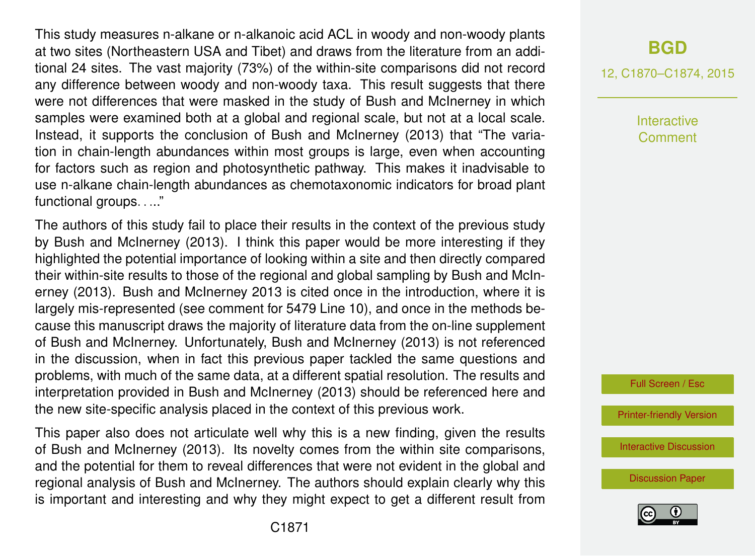This study measures n-alkane or n-alkanoic acid ACL in woody and non-woody plants at two sites (Northeastern USA and Tibet) and draws from the literature from an additional 24 sites. The vast majority (73%) of the within-site comparisons did not record any difference between woody and non-woody taxa. This result suggests that there were not differences that were masked in the study of Bush and McInerney in which samples were examined both at a global and regional scale, but not at a local scale. Instead, it supports the conclusion of Bush and McInerney (2013) that "The variation in chain-length abundances within most groups is large, even when accounting for factors such as region and photosynthetic pathway. This makes it inadvisable to use n-alkane chain-length abundances as chemotaxonomic indicators for broad plant functional groups. . ..."

The authors of this study fail to place their results in the context of the previous study by Bush and McInerney (2013). I think this paper would be more interesting if they highlighted the potential importance of looking within a site and then directly compared their within-site results to those of the regional and global sampling by Bush and McInerney (2013). Bush and McInerney 2013 is cited once in the introduction, where it is largely mis-represented (see comment for 5479 Line 10), and once in the methods because this manuscript draws the majority of literature data from the on-line supplement of Bush and McInerney. Unfortunately, Bush and McInerney (2013) is not referenced in the discussion, when in fact this previous paper tackled the same questions and problems, with much of the same data, at a different spatial resolution. The results and interpretation provided in Bush and McInerney (2013) should be referenced here and the new site-specific analysis placed in the context of this previous work.

This paper also does not articulate well why this is a new finding, given the results of Bush and McInerney (2013). Its novelty comes from the within site comparisons, and the potential for them to reveal differences that were not evident in the global and regional analysis of Bush and McInerney. The authors should explain clearly why this is important and interesting and why they might expect to get a different result from

## **[BGD](http://www.biogeosciences-discuss.net)**

12, C1870–C1874, 2015

Interactive Comment

Full Screen / Esc

[Printer-friendly Version](http://www.biogeosciences-discuss.net/12/C1870/2015/bgd-12-C1870-2015-print.pdf)

[Interactive Discussion](http://www.biogeosciences-discuss.net/12/5477/2015/bgd-12-5477-2015-discussion.html)

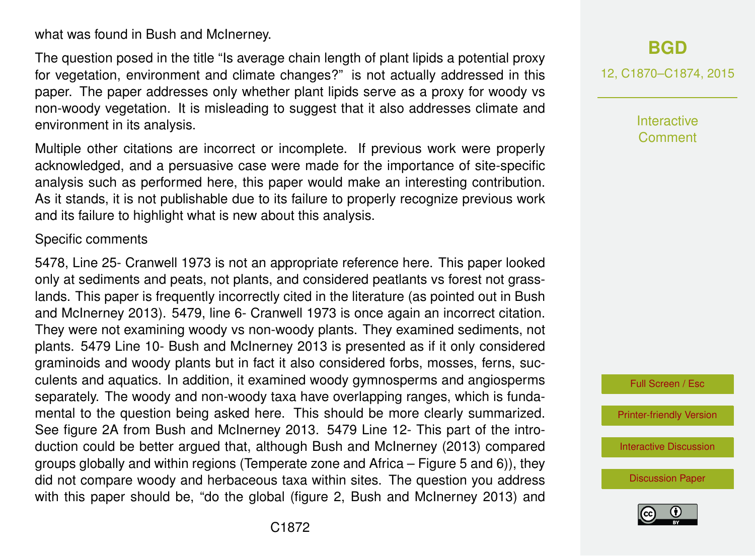what was found in Bush and McInerney.

The question posed in the title "Is average chain length of plant lipids a potential proxy for vegetation, environment and climate changes?" is not actually addressed in this paper. The paper addresses only whether plant lipids serve as a proxy for woody vs non-woody vegetation. It is misleading to suggest that it also addresses climate and environment in its analysis.

Multiple other citations are incorrect or incomplete. If previous work were properly acknowledged, and a persuasive case were made for the importance of site-specific analysis such as performed here, this paper would make an interesting contribution. As it stands, it is not publishable due to its failure to properly recognize previous work and its failure to highlight what is new about this analysis.

#### Specific comments

5478, Line 25- Cranwell 1973 is not an appropriate reference here. This paper looked only at sediments and peats, not plants, and considered peatlants vs forest not grasslands. This paper is frequently incorrectly cited in the literature (as pointed out in Bush and McInerney 2013). 5479, line 6- Cranwell 1973 is once again an incorrect citation. They were not examining woody vs non-woody plants. They examined sediments, not plants. 5479 Line 10- Bush and McInerney 2013 is presented as if it only considered graminoids and woody plants but in fact it also considered forbs, mosses, ferns, succulents and aquatics. In addition, it examined woody gymnosperms and angiosperms separately. The woody and non-woody taxa have overlapping ranges, which is fundamental to the question being asked here. This should be more clearly summarized. See figure 2A from Bush and McInerney 2013. 5479 Line 12- This part of the introduction could be better argued that, although Bush and McInerney (2013) compared groups globally and within regions (Temperate zone and Africa – Figure 5 and 6)), they did not compare woody and herbaceous taxa within sites. The question you address with this paper should be, "do the global (figure 2, Bush and McInerney 2013) and 12, C1870–C1874, 2015

**Interactive** Comment

Full Screen / Esc

[Printer-friendly Version](http://www.biogeosciences-discuss.net/12/C1870/2015/bgd-12-C1870-2015-print.pdf)

[Interactive Discussion](http://www.biogeosciences-discuss.net/12/5477/2015/bgd-12-5477-2015-discussion.html)

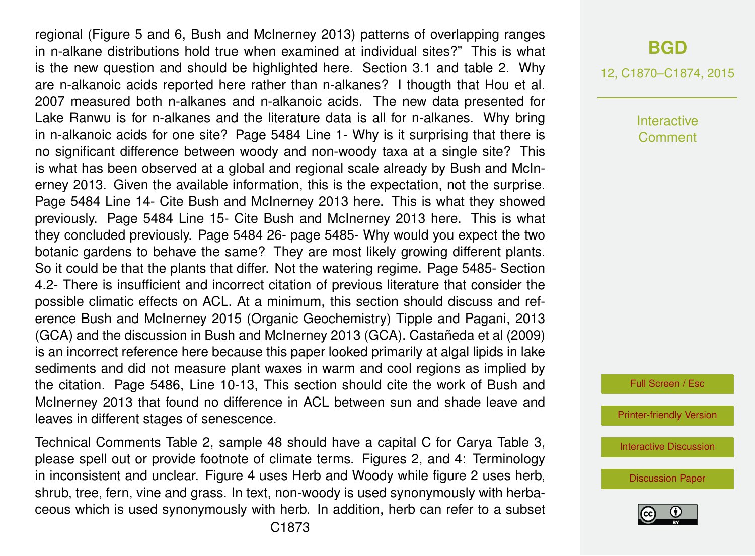regional (Figure 5 and 6, Bush and McInerney 2013) patterns of overlapping ranges in n-alkane distributions hold true when examined at individual sites?" This is what is the new question and should be highlighted here. Section 3.1 and table 2. Why are n-alkanoic acids reported here rather than n-alkanes? I thougth that Hou et al. 2007 measured both n-alkanes and n-alkanoic acids. The new data presented for Lake Ranwu is for n-alkanes and the literature data is all for n-alkanes. Why bring in n-alkanoic acids for one site? Page 5484 Line 1- Why is it surprising that there is no significant difference between woody and non-woody taxa at a single site? This is what has been observed at a global and regional scale already by Bush and McInerney 2013. Given the available information, this is the expectation, not the surprise. Page 5484 Line 14- Cite Bush and McInerney 2013 here. This is what they showed previously. Page 5484 Line 15- Cite Bush and McInerney 2013 here. This is what they concluded previously. Page 5484 26- page 5485- Why would you expect the two botanic gardens to behave the same? They are most likely growing different plants. So it could be that the plants that differ. Not the watering regime. Page 5485- Section 4.2- There is insufficient and incorrect citation of previous literature that consider the possible climatic effects on ACL. At a minimum, this section should discuss and reference Bush and McInerney 2015 (Organic Geochemistry) Tipple and Pagani, 2013 (GCA) and the discussion in Bush and McInerney 2013 (GCA). Castañeda et al (2009) is an incorrect reference here because this paper looked primarily at algal lipids in lake sediments and did not measure plant waxes in warm and cool regions as implied by the citation. Page 5486, Line 10-13, This section should cite the work of Bush and McInerney 2013 that found no difference in ACL between sun and shade leave and leaves in different stages of senescence.

Technical Comments Table 2, sample 48 should have a capital C for Carya Table 3, please spell out or provide footnote of climate terms. Figures 2, and 4: Terminology in inconsistent and unclear. Figure 4 uses Herb and Woody while figure 2 uses herb, shrub, tree, fern, vine and grass. In text, non-woody is used synonymously with herbaceous which is used synonymously with herb. In addition, herb can refer to a subset

### **[BGD](http://www.biogeosciences-discuss.net)**

12, C1870–C1874, 2015

**Interactive Comment** 

Full Screen / Esc

[Printer-friendly Version](http://www.biogeosciences-discuss.net/12/C1870/2015/bgd-12-C1870-2015-print.pdf)

[Interactive Discussion](http://www.biogeosciences-discuss.net/12/5477/2015/bgd-12-5477-2015-discussion.html)